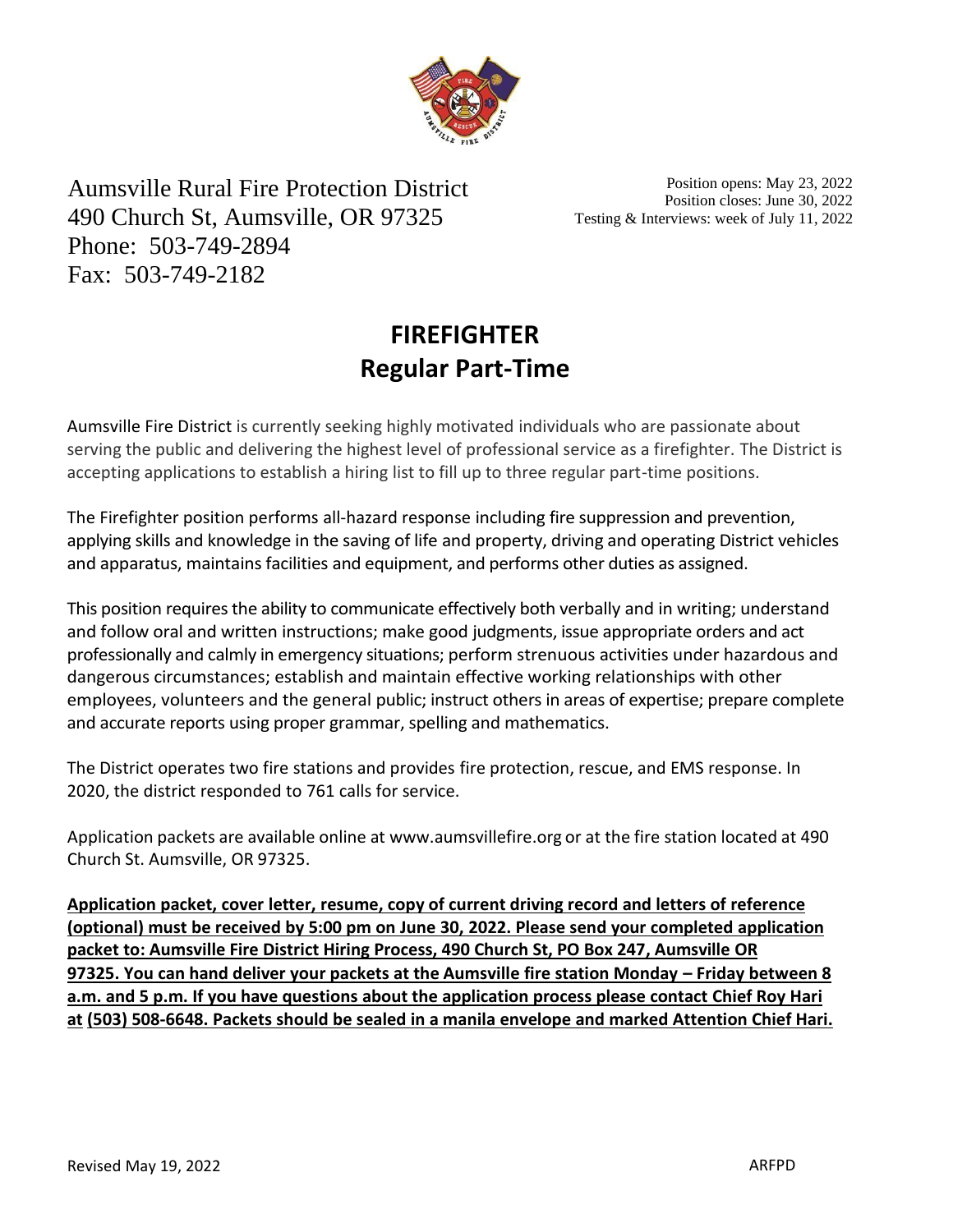

Aumsville Rural Fire Protection District 490 Church St, Aumsville, OR 97325 Phone: 503-749-2894 Fax: 503-749-2182

Position opens: May 23, 2022 Position closes: June 30, 2022 Testing & Interviews: week of July 11, 2022

# **FIREFIGHTER Regular Part-Time**

Aumsville Fire District is currently seeking highly motivated individuals who are passionate about serving the public and delivering the highest level of professional service as a firefighter. The District is accepting applications to establish a hiring list to fill up to three regular part-time positions.

The Firefighter position performs all-hazard response including fire suppression and prevention, applying skills and knowledge in the saving of life and property, driving and operating District vehicles and apparatus, maintains facilities and equipment, and performs other duties as assigned.

This position requires the ability to communicate effectively both verbally and in writing; understand and follow oral and written instructions; make good judgments, issue appropriate orders and act professionally and calmly in emergency situations; perform strenuous activities under hazardous and dangerous circumstances; establish and maintain effective working relationships with other employees, volunteers and the general public; instruct others in areas of expertise; prepare complete and accurate reports using proper grammar, spelling and mathematics.

The District operates two fire stations and provides fire protection, rescue, and EMS response. In 2020, the district responded to 761 calls for service.

Application packets are available online at [www.aumsvillefire.org](http://www.aumsvillefire.org/) or at the fire station located at 490 Church St. Aumsville, OR 97325.

**Application packet, cover letter, resume, copy of current driving record and letters of reference (optional) must be received by 5:00 pm on June 30, 2022. Please send your completed application packet to: Aumsville Fire District Hiring Process, 490 Church St, PO Box 247, Aumsville OR 97325. You can hand deliver your packets at the Aumsville fire station Monday – Friday between 8 a.m. and 5 p.m. If you have questions about the application process please contact Chief Roy Hari at (503) 508-6648. Packets should be sealed in a manila envelope and marked Attention Chief Hari.**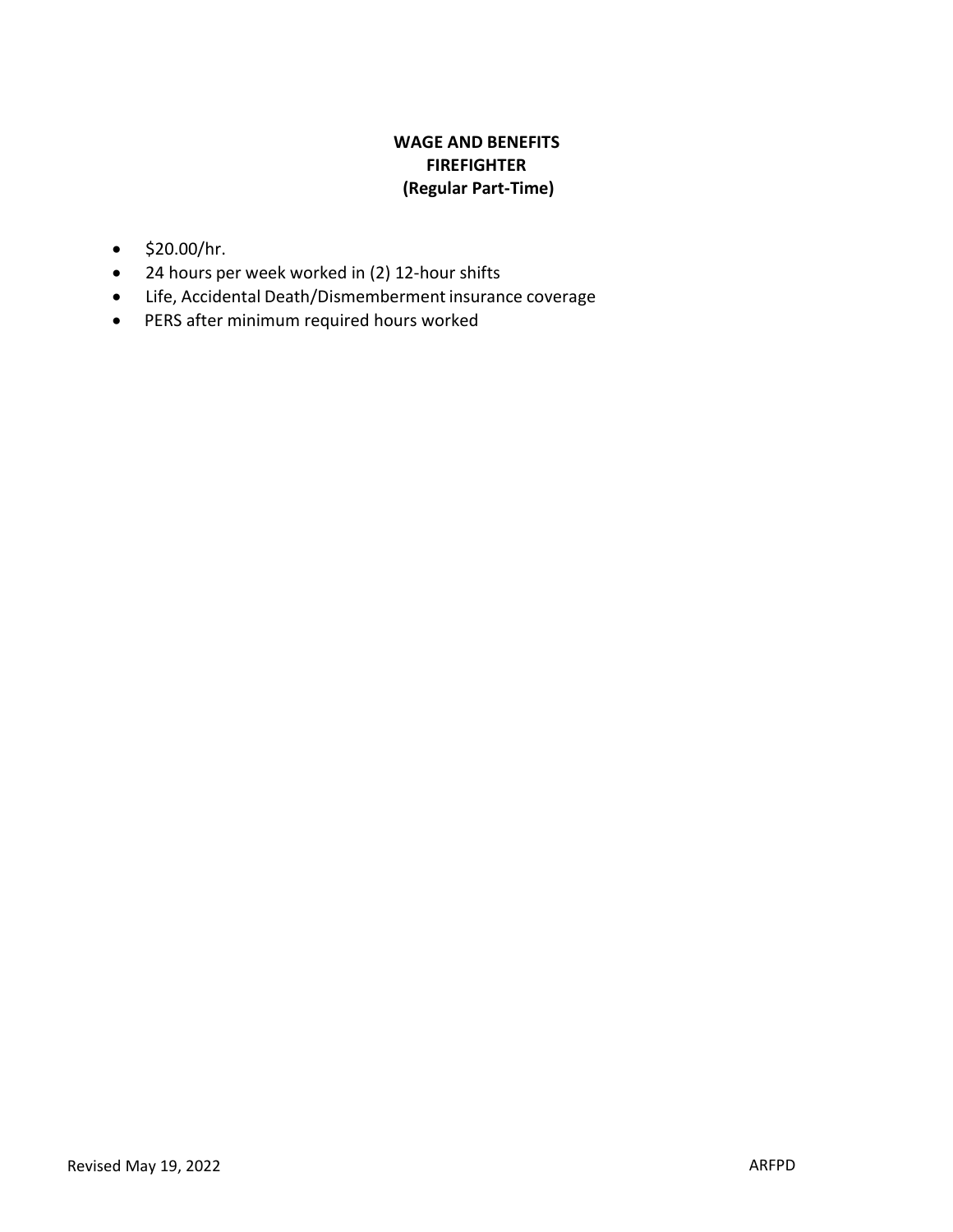## **WAGE AND BENEFITS FIREFIGHTER (Regular Part-Time)**

- \$20.00/hr.
- 24 hours per week worked in (2) 12-hour shifts
- Life, Accidental Death/Dismemberment insurance coverage
- PERS after minimum required hours worked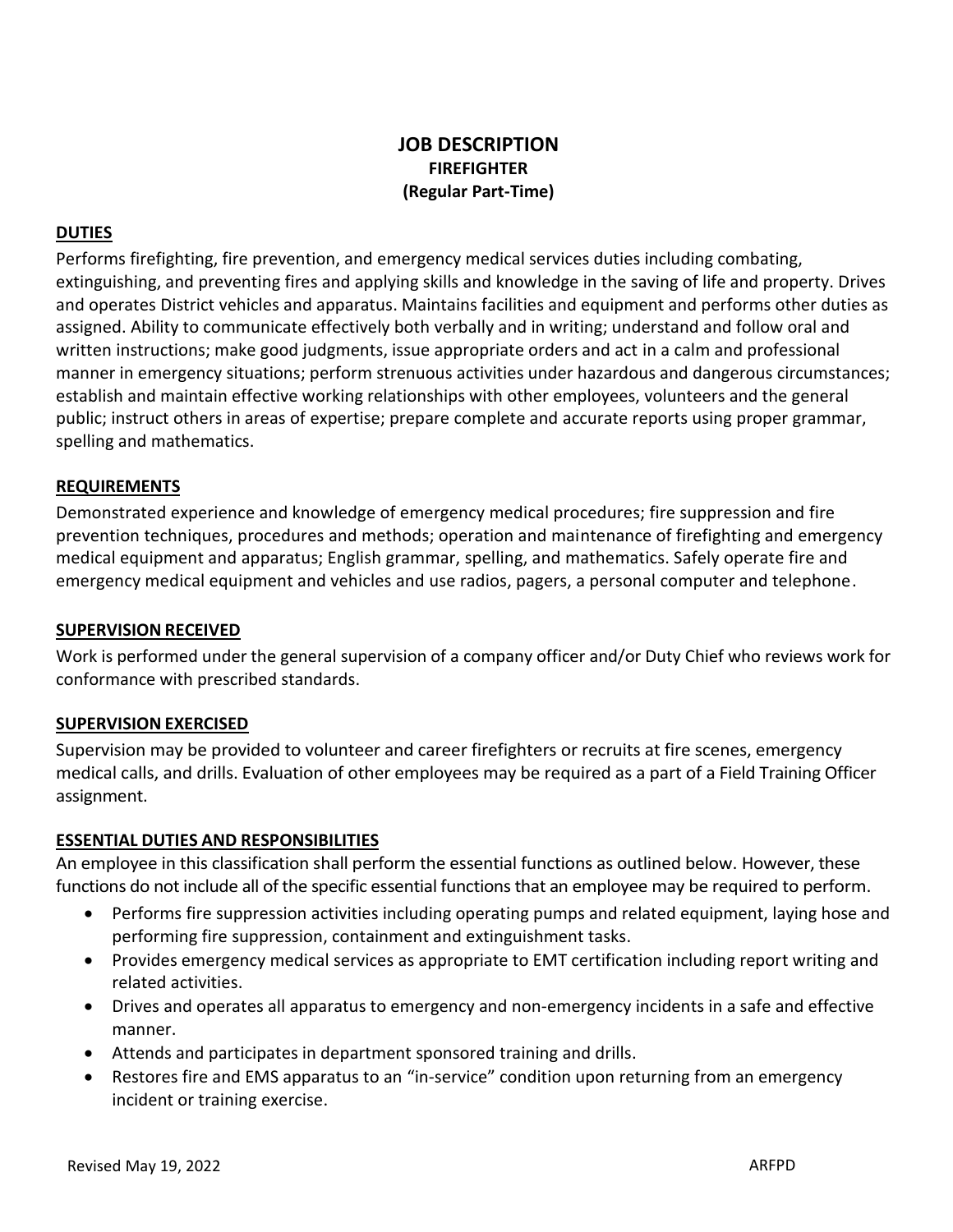## **JOB DESCRIPTION FIREFIGHTER (Regular Part-Time)**

#### **DUTIES**

Performs firefighting, fire prevention, and emergency medical services duties including combating, extinguishing, and preventing fires and applying skills and knowledge in the saving of life and property. Drives and operates District vehicles and apparatus. Maintains facilities and equipment and performs other duties as assigned. Ability to communicate effectively both verbally and in writing; understand and follow oral and written instructions; make good judgments, issue appropriate orders and act in a calm and professional manner in emergency situations; perform strenuous activities under hazardous and dangerous circumstances; establish and maintain effective working relationships with other employees, volunteers and the general public; instruct others in areas of expertise; prepare complete and accurate reports using proper grammar, spelling and mathematics.

#### **REQUIREMENTS**

Demonstrated experience and knowledge of emergency medical procedures; fire suppression and fire prevention techniques, procedures and methods; operation and maintenance of firefighting and emergency medical equipment and apparatus; English grammar, spelling, and mathematics. Safely operate fire and emergency medical equipment and vehicles and use radios, pagers, a personal computer and telephone.

#### **SUPERVISION RECEIVED**

Work is performed under the general supervision of a company officer and/or Duty Chief who reviews work for conformance with prescribed standards.

#### **SUPERVISION EXERCISED**

Supervision may be provided to volunteer and career firefighters or recruits at fire scenes, emergency medical calls, and drills. Evaluation of other employees may be required as a part of a Field Training Officer assignment.

#### **ESSENTIAL DUTIES AND RESPONSIBILITIES**

An employee in this classification shall perform the essential functions as outlined below. However, these functions do not include all of the specific essential functions that an employee may be required to perform.

- Performs fire suppression activities including operating pumps and related equipment, laying hose and performing fire suppression, containment and extinguishment tasks.
- Provides emergency medical services as appropriate to EMT certification including report writing and related activities.
- Drives and operates all apparatus to emergency and non-emergency incidents in a safe and effective manner.
- Attends and participates in department sponsored training and drills.
- Restores fire and EMS apparatus to an "in-service" condition upon returning from an emergency incident or training exercise.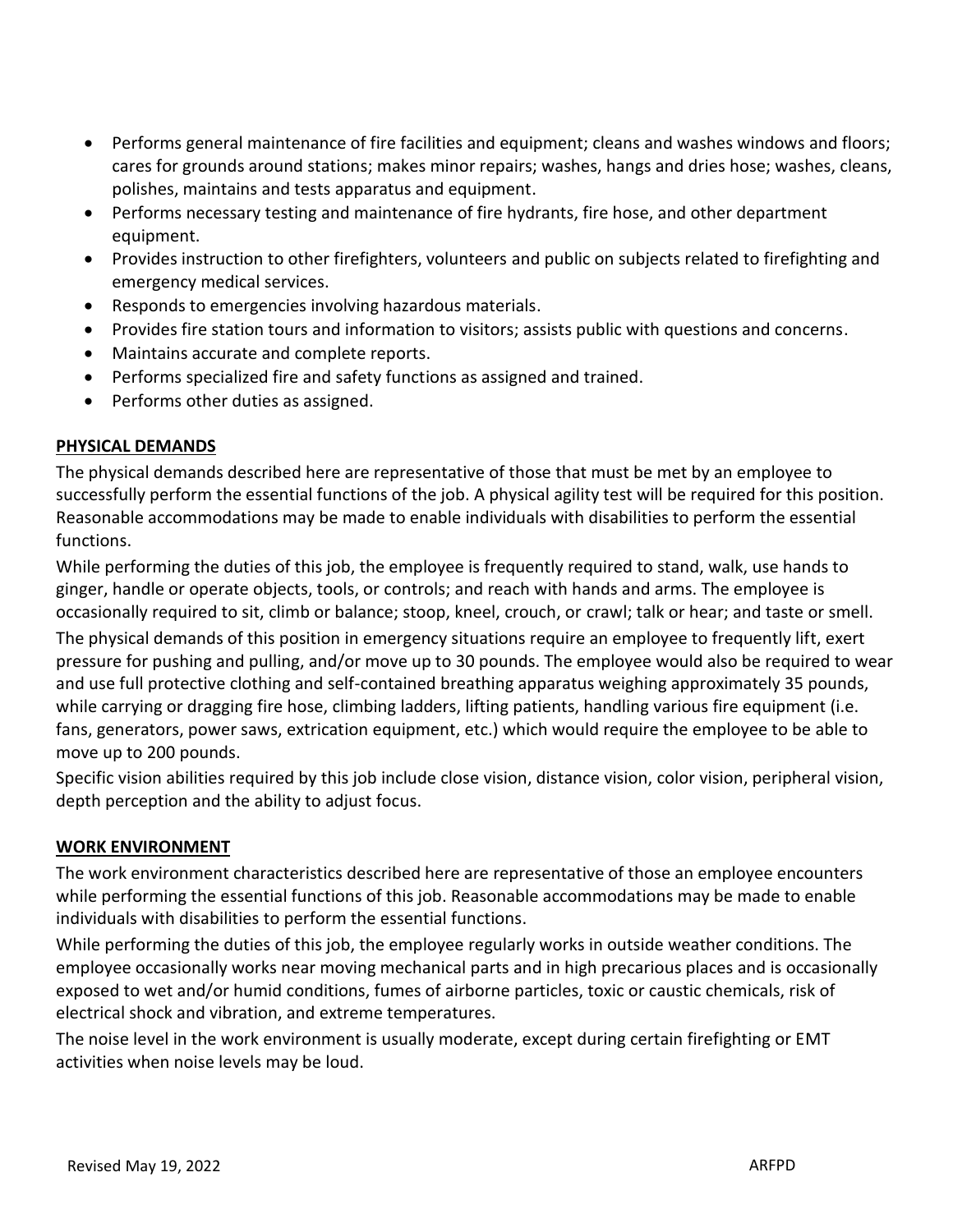- Performs general maintenance of fire facilities and equipment; cleans and washes windows and floors; cares for grounds around stations; makes minor repairs; washes, hangs and dries hose; washes, cleans, polishes, maintains and tests apparatus and equipment.
- Performs necessary testing and maintenance of fire hydrants, fire hose, and other department equipment.
- Provides instruction to other firefighters, volunteers and public on subjects related to firefighting and emergency medical services.
- Responds to emergencies involving hazardous materials.
- Provides fire station tours and information to visitors; assists public with questions and concerns.
- Maintains accurate and complete reports.
- Performs specialized fire and safety functions as assigned and trained.
- Performs other duties as assigned.

#### **PHYSICAL DEMANDS**

The physical demands described here are representative of those that must be met by an employee to successfully perform the essential functions of the job. A physical agility test will be required for this position. Reasonable accommodations may be made to enable individuals with disabilities to perform the essential functions.

While performing the duties of this job, the employee is frequently required to stand, walk, use hands to ginger, handle or operate objects, tools, or controls; and reach with hands and arms. The employee is occasionally required to sit, climb or balance; stoop, kneel, crouch, or crawl; talk or hear; and taste or smell. The physical demands of this position in emergency situations require an employee to frequently lift, exert pressure for pushing and pulling, and/or move up to 30 pounds. The employee would also be required to wear and use full protective clothing and self-contained breathing apparatus weighing approximately 35 pounds, while carrying or dragging fire hose, climbing ladders, lifting patients, handling various fire equipment (i.e. fans, generators, power saws, extrication equipment, etc.) which would require the employee to be able to move up to 200 pounds.

Specific vision abilities required by this job include close vision, distance vision, color vision, peripheral vision, depth perception and the ability to adjust focus.

### **WORK ENVIRONMENT**

The work environment characteristics described here are representative of those an employee encounters while performing the essential functions of this job. Reasonable accommodations may be made to enable individuals with disabilities to perform the essential functions.

While performing the duties of this job, the employee regularly works in outside weather conditions. The employee occasionally works near moving mechanical parts and in high precarious places and is occasionally exposed to wet and/or humid conditions, fumes of airborne particles, toxic or caustic chemicals, risk of electrical shock and vibration, and extreme temperatures.

The noise level in the work environment is usually moderate, except during certain firefighting or EMT activities when noise levels may be loud.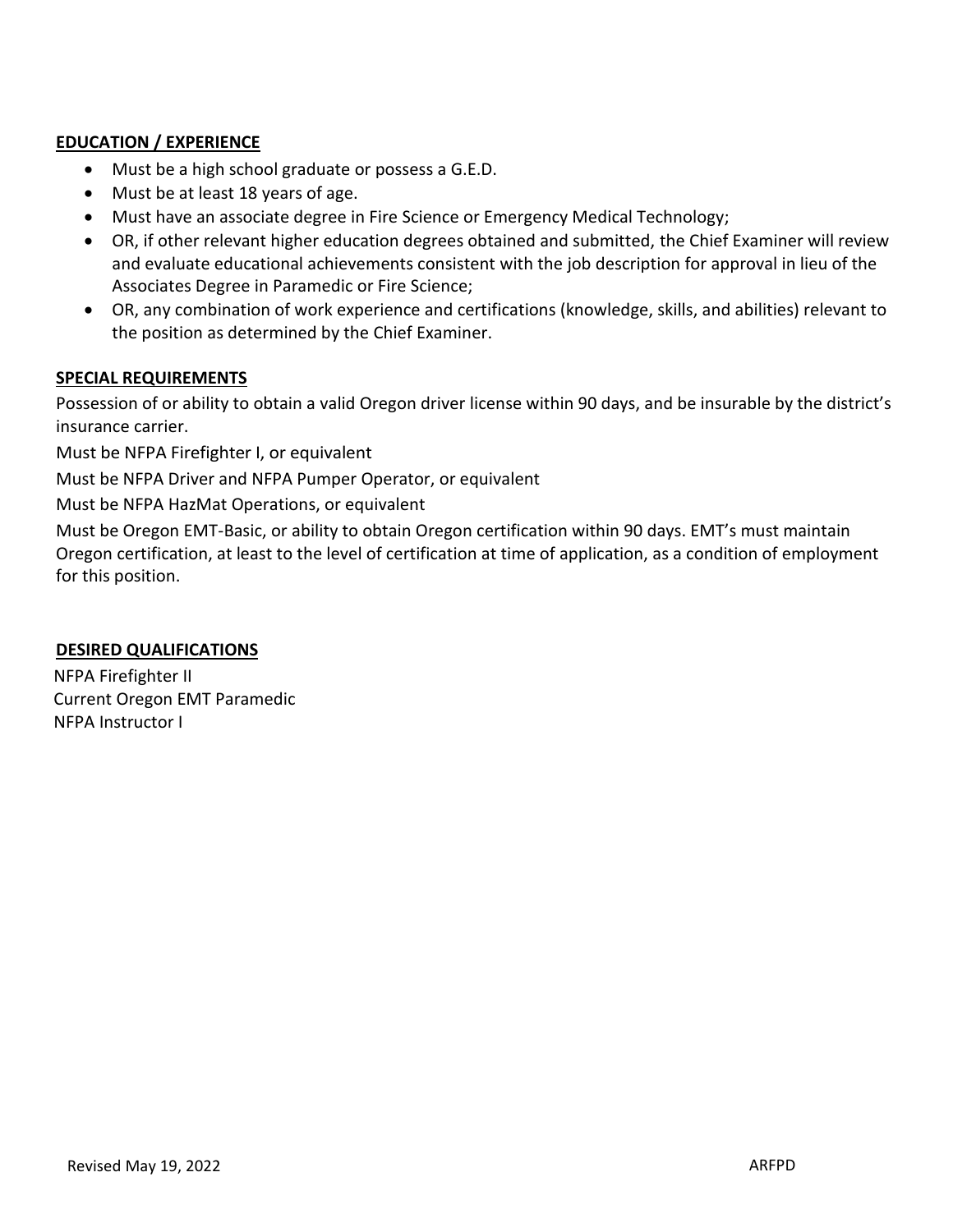#### **EDUCATION / EXPERIENCE**

- Must be a high school graduate or possess a G.E.D.
- Must be at least 18 years of age.
- Must have an associate degree in Fire Science or Emergency Medical Technology;
- OR, if other relevant higher education degrees obtained and submitted, the Chief Examiner will review and evaluate educational achievements consistent with the job description for approval in lieu of the Associates Degree in Paramedic or Fire Science;
- OR, any combination of work experience and certifications (knowledge, skills, and abilities) relevant to the position as determined by the Chief Examiner.

#### **SPECIAL REQUIREMENTS**

Possession of or ability to obtain a valid Oregon driver license within 90 days, and be insurable by the district's insurance carrier.

Must be NFPA Firefighter I, or equivalent

Must be NFPA Driver and NFPA Pumper Operator, or equivalent

Must be NFPA HazMat Operations, or equivalent

Must be Oregon EMT-Basic, or ability to obtain Oregon certification within 90 days. EMT's must maintain Oregon certification, at least to the level of certification at time of application, as a condition of employment for this position.

#### **DESIRED QUALIFICATIONS**

NFPA Firefighter II Current Oregon EMT Paramedic NFPA Instructor I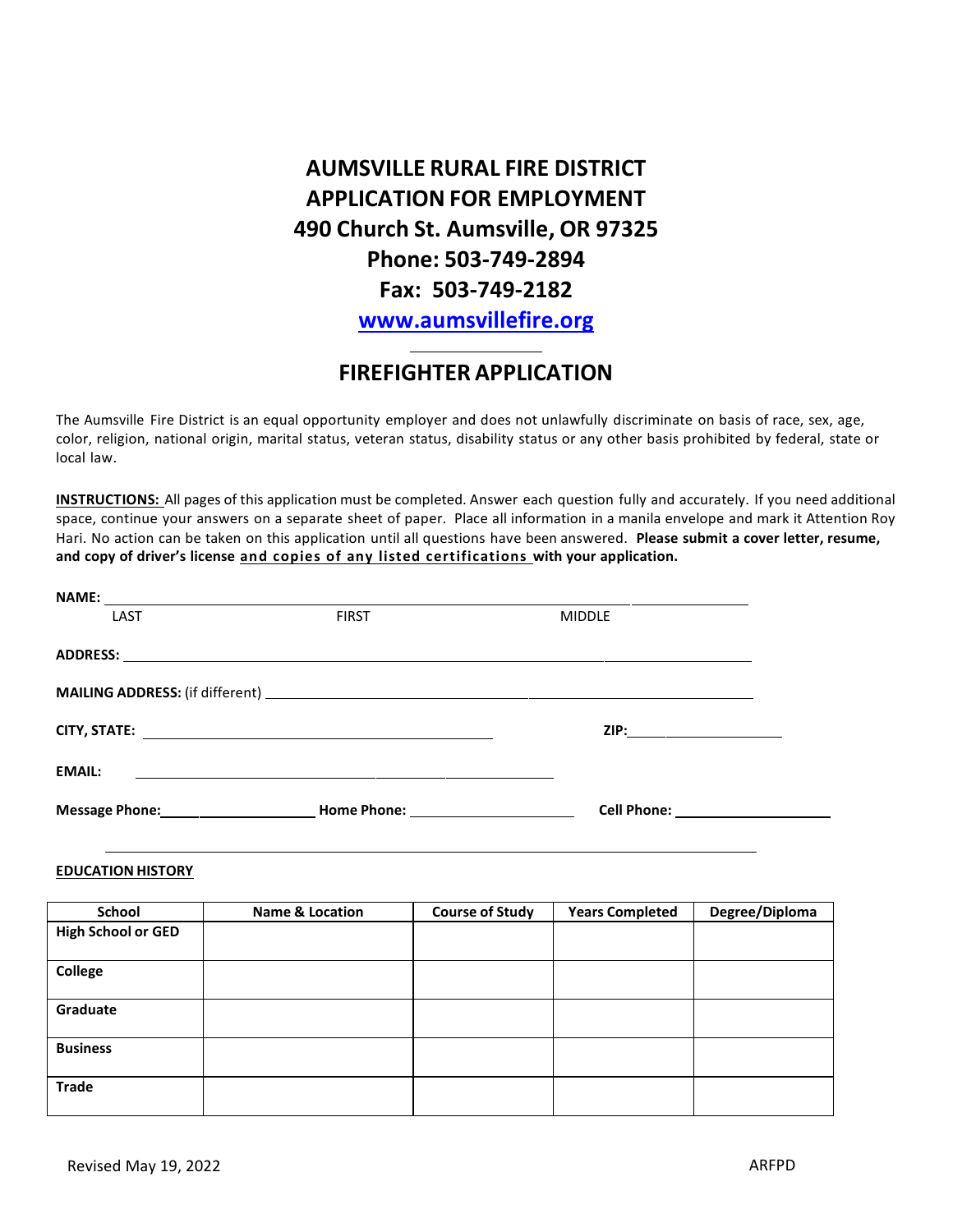**AUMSVILLE RURAL FIRE DISTRICT APPLICATION FOR EMPLOYMENT 490 Church St. Aumsville, OR 97325 Phone: 503-749-2894 Fax: 503-749-2182 www.aumsvillefire.org**

## **FIREFIGHTER APPLICATION**

The Aumsville Fire District is an equal opportunity employer and does not unlawfully discriminate on basis of race, sex, age, color, religion, national origin, marital status, veteran status, disability status or any other basis prohibited by federal, state or local law.

**INSTRUCTIONS:** All pages of this application must be completed. Answer each question fully and accurately. If you need additional space, continue your answers on a separate sheet of paper. Place all information in a manila envelope and mark it Attention Roy Hari. No action can be taken on this application until all questions have been answered. **Please submit a cover letter, resume, and copy of driver's license and copies of any listed certifications with your application.**

| LAST                                 | <b>FIRST</b>                                                                                                                                                                                                                   | <b>MIDDLE</b>                       |
|--------------------------------------|--------------------------------------------------------------------------------------------------------------------------------------------------------------------------------------------------------------------------------|-------------------------------------|
|                                      |                                                                                                                                                                                                                                |                                     |
|                                      |                                                                                                                                                                                                                                |                                     |
|                                      |                                                                                                                                                                                                                                |                                     |
|                                      |                                                                                                                                                                                                                                | ZIP:________________________        |
|                                      |                                                                                                                                                                                                                                |                                     |
| <b>EMAIL:</b>                        |                                                                                                                                                                                                                                |                                     |
| <b>Message Phone:</b> Nessage Phone: | Home Phone: The Contract of the Contract of the Contract of the Contract of the Contract of the Contract of the Contract of the Contract of the Contract of the Contract of the Contract of the Contract of the Contract of th | Cell Phone: <u>________________</u> |

#### **EDUCATION HISTORY**

| School                    | <b>Name &amp; Location</b> | <b>Course of Study</b> | <b>Years Completed</b> | Degree/Diploma |
|---------------------------|----------------------------|------------------------|------------------------|----------------|
| <b>High School or GED</b> |                            |                        |                        |                |
|                           |                            |                        |                        |                |
| College                   |                            |                        |                        |                |
|                           |                            |                        |                        |                |
| Graduate                  |                            |                        |                        |                |
|                           |                            |                        |                        |                |
| <b>Business</b>           |                            |                        |                        |                |
|                           |                            |                        |                        |                |
| <b>Trade</b>              |                            |                        |                        |                |
|                           |                            |                        |                        |                |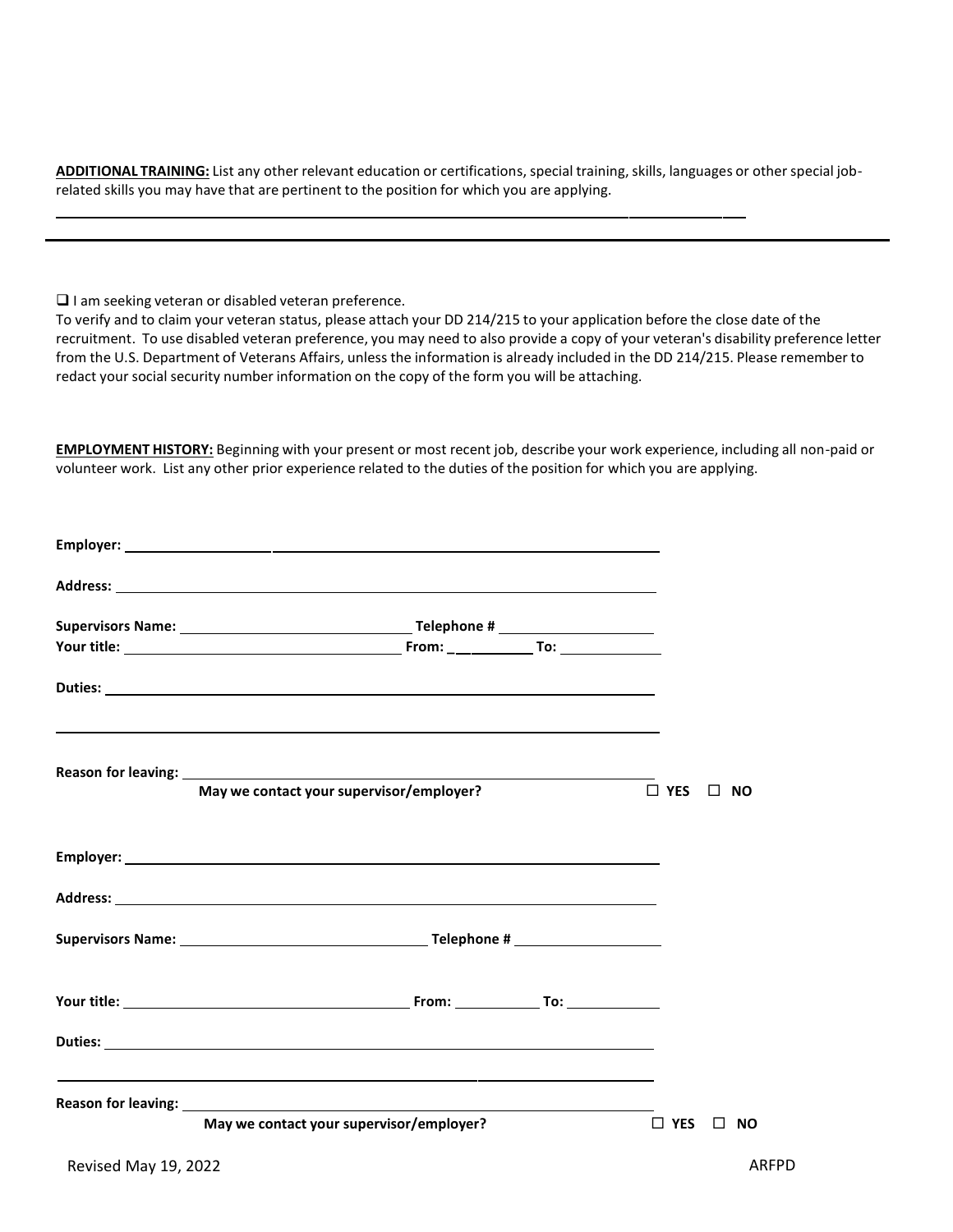**ADDITIONAL TRAINING:** List any other relevant education or certifications, special training, skills, languages or other special jobrelated skills you may have that are pertinent to the position for which you are applying.

❑ I am seeking veteran or disabled veteran preference.

To verify and to claim your veteran status, please attach your DD 214/215 to your application before the close date of the recruitment. To use disabled veteran preference, you may need to also provide a copy of your veteran's disability preference letter from the U.S. Department of Veterans Affairs, unless the information is already included in the DD 214/215. Please remember to redact your social security number information on the copy of the form you will be attaching.

**EMPLOYMENT HISTORY:** Beginning with your present or most recent job, describe your work experience, including all non-paid or volunteer work. List any other prior experience related to the duties of the position for which you are applying.

| Reason for leaving: <u>contract the contract of the contract of the contract of the contract of the contract of the contract of the contract of the contract of the contract of the contract of the contract of the contract of </u><br>May we contact your supervisor/employer? | $\square$ YES<br>$\Box$ NO |
|----------------------------------------------------------------------------------------------------------------------------------------------------------------------------------------------------------------------------------------------------------------------------------|----------------------------|
|                                                                                                                                                                                                                                                                                  |                            |
|                                                                                                                                                                                                                                                                                  |                            |
|                                                                                                                                                                                                                                                                                  |                            |
|                                                                                                                                                                                                                                                                                  |                            |
|                                                                                                                                                                                                                                                                                  |                            |
|                                                                                                                                                                                                                                                                                  |                            |
| May we contact your supervisor/employer?                                                                                                                                                                                                                                         | $\Box$ YES $\Box$ NO       |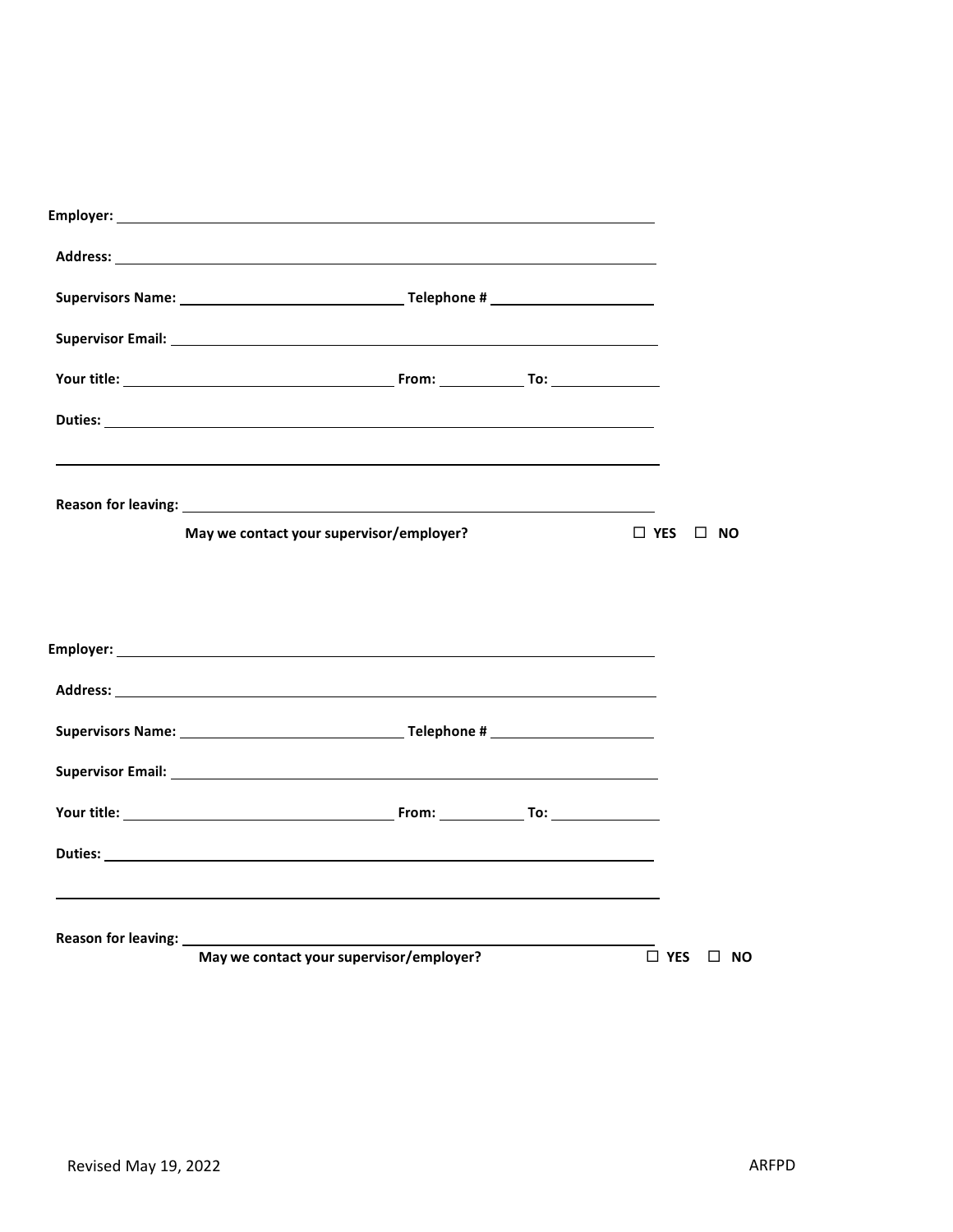| Address: the contract of the contract of the contract of the contract of the contract of the contract of the contract of the contract of the contract of the contract of the contract of the contract of the contract of the c       |               |           |  |
|--------------------------------------------------------------------------------------------------------------------------------------------------------------------------------------------------------------------------------------|---------------|-----------|--|
|                                                                                                                                                                                                                                      |               |           |  |
|                                                                                                                                                                                                                                      |               |           |  |
|                                                                                                                                                                                                                                      |               |           |  |
|                                                                                                                                                                                                                                      |               |           |  |
|                                                                                                                                                                                                                                      |               |           |  |
| May we contact your supervisor/employer?                                                                                                                                                                                             | $\Box$ YES    | $\Box$ NO |  |
|                                                                                                                                                                                                                                      |               |           |  |
|                                                                                                                                                                                                                                      |               |           |  |
|                                                                                                                                                                                                                                      |               |           |  |
|                                                                                                                                                                                                                                      |               |           |  |
| Supervisor Email: <u>New York: New York: New York: New York: New York: New York: New York: New York: New York: New York: New York: New York: New York: New York: New York: New York: New York: New York: New York: New York: New</u> |               |           |  |
|                                                                                                                                                                                                                                      |               |           |  |
|                                                                                                                                                                                                                                      |               |           |  |
|                                                                                                                                                                                                                                      |               |           |  |
| May we contact your supervisor/employer?                                                                                                                                                                                             | $\square$ YES | $\Box$ NO |  |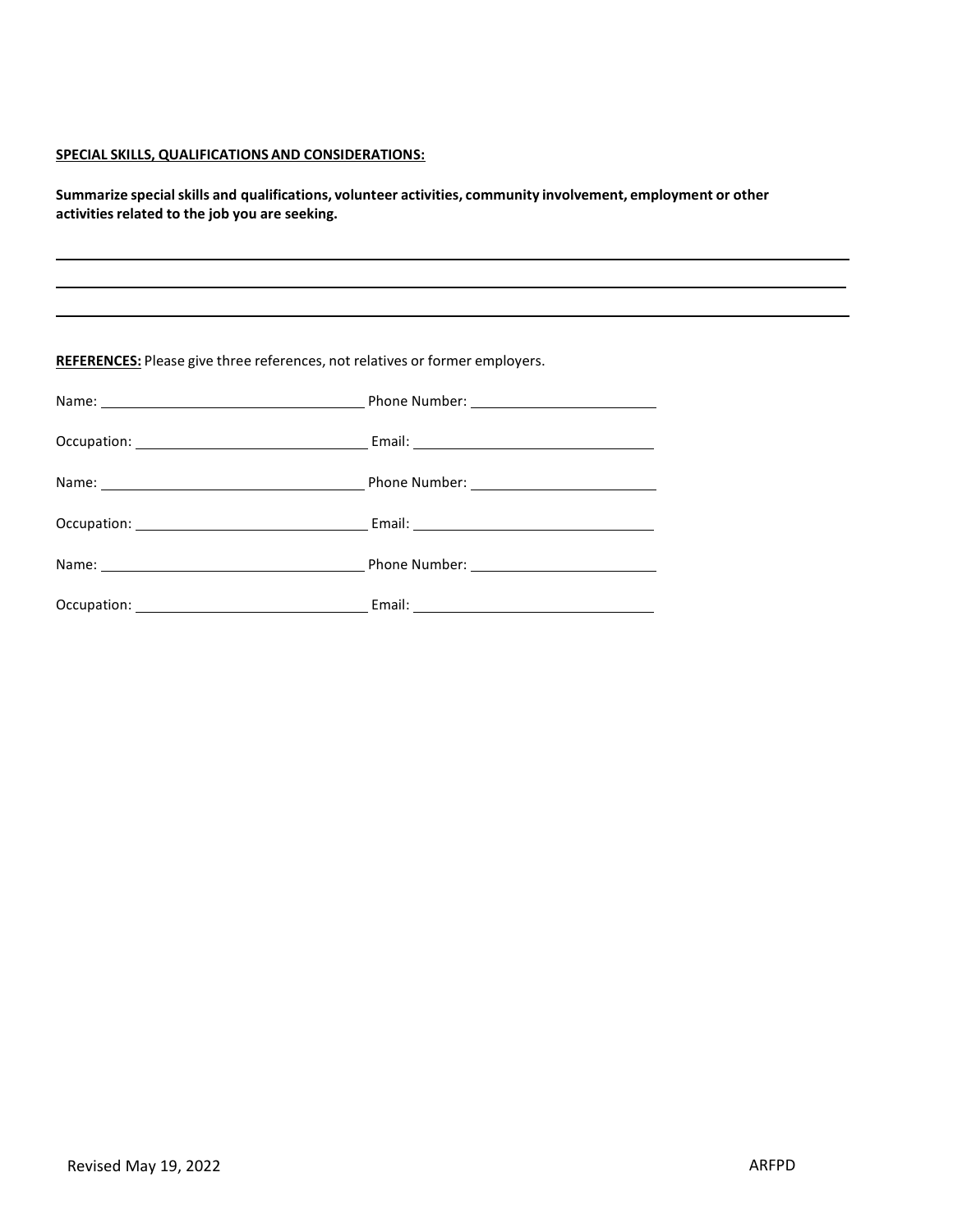#### **SPECIAL SKILLS, QUALIFICATIONS AND CONSIDERATIONS:**

**Summarize specialskills and qualifications, volunteer activities, community involvement, employment or other activitiesrelated to the job you are seeking.**

**REFERENCES:** Please give three references, not relatives or former employers.